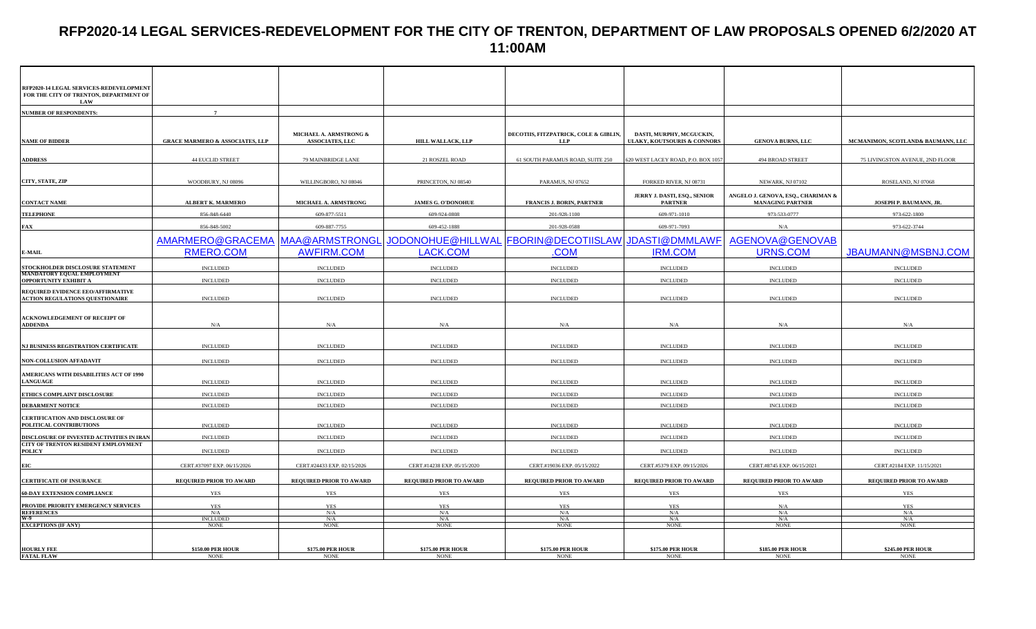# **RFP2020-14 LEGAL SERVICES-REDEVELOPMENT FOR THE CITY OF TRENTON, DEPARTMENT OF LAW PROPOSALS OPENED 6/2/2020 AT 11:00AM**

| RFP2020-14 LEGAL SERVICES-REDEVELOPMENT                                     |                                            |                                    |                                         |                                         |                                                |                                                               |                                   |
|-----------------------------------------------------------------------------|--------------------------------------------|------------------------------------|-----------------------------------------|-----------------------------------------|------------------------------------------------|---------------------------------------------------------------|-----------------------------------|
| FOR THE CITY OF TRENTON, DEPARTMENT OF                                      |                                            |                                    |                                         |                                         |                                                |                                                               |                                   |
| LAW<br><b>NUMBER OF RESPONDENTS:</b>                                        | $\overline{7}$                             |                                    |                                         |                                         |                                                |                                                               |                                   |
|                                                                             |                                            |                                    |                                         |                                         |                                                |                                                               |                                   |
|                                                                             |                                            | MICHAEL A. ARMSTRONG &             |                                         | DECOTIIS, FITZPATRICK, COLE & GIBLIN,   | DASTI, MURPHY, MCGUCKIN,                       |                                                               |                                   |
| <b>NAME OF BIDDER</b>                                                       | <b>GRACE MARMERO &amp; ASSOCIATES, LLP</b> | <b>ASSOCIATES, LLC</b>             | HILL WALLACK, LLP                       | LLP                                     | <b>ULAKY, KOUTSOURIS &amp; CONNORS</b>         | <b>GENOVA BURNS, LLC</b>                                      | MCMANIMON, SCOTLAND& BAUMANN, LLC |
|                                                                             |                                            |                                    |                                         |                                         |                                                |                                                               |                                   |
| <b>ADDRESS</b>                                                              | <b>44 EUCLID STREET</b>                    | 79 MAINBRIDGE LANE                 | 21 ROSZEL ROAD                          | 61 SOUTH PARAMUS ROAD, SUITE 250        | 20 WEST LACEY ROAD, P.O. BOX 1057              | 494 BROAD STREET                                              | 75 LIVINGSTON AVENUE, 2ND FLOOR   |
| CITY, STATE, ZIP                                                            | WOODBURY, NJ 08096                         | WILLINGBORO, NJ 08046              | PRINCETON, NJ 08540                     | PARAMUS, NJ 07652                       | FORKED RIVER, NJ 08731                         | NEWARK, NJ 07102                                              | ROSELAND, NJ 07068                |
|                                                                             |                                            |                                    |                                         |                                         |                                                |                                                               |                                   |
| <b>CONTACT NAME</b>                                                         | <b>ALBERT K. MARMERO</b>                   | MICHAEL A. ARMSTRONG               | <b>JAMES G. O'DONOHUE</b>               | <b>FRANCIS J. BORIN, PARTNER</b>        | JERRY J. DASTI, ESQ., SENIOR<br><b>PARTNER</b> | ANGELO J. GENOVA, ESQ., CHARIMAN &<br><b>MANAGING PARTNER</b> | JOSEPH P. BAUMANN, JR.            |
| <b>TELEPHONE</b>                                                            | 856-848-6440                               | 609-877-5511                       | 609-924-0808                            | 201-928-1100                            | 609-971-1010                                   | 973-533-0777                                                  | 973-622-1800                      |
| <b>FAX</b>                                                                  | 856-848-5002                               | 609-887-7755                       | 609-452-1888                            | 201-928-0588                            | 609-971-7093                                   | N/A                                                           | 973-622-3744                      |
|                                                                             | AMARMERO@GRACEMA                           | MAA@ARMSTRONGL                     | JODONOHUE@HILLWAL                       | FBORIN@DECOTIISLAW JDASTI@DMMLAWF       |                                                | AGENOVA@GENOVAB                                               |                                   |
| E-MAIL                                                                      | RMERO.COM                                  | <b>AWFIRM.COM</b>                  | LACK.COM                                | .COM                                    | <b>IRM.COM</b>                                 | <b>URNS.COM</b>                                               | JBAUMANN@MSBNJ.COM                |
|                                                                             |                                            |                                    |                                         |                                         |                                                |                                                               |                                   |
| STOCKHOLDER DISCLOSURE STATEMENT<br>MANDATORY EQUAL EMPLOYMENT              | <b>INCLUDED</b>                            | <b>INCLUDED</b>                    | <b>INCLUDED</b>                         | <b>INCLUDED</b>                         | <b>INCLUDED</b>                                | <b>INCLUDED</b>                                               | <b>INCLUDED</b>                   |
| <b>OPPORTUNITY EXHIBIT A</b>                                                | <b>INCLUDED</b>                            | <b>INCLUDED</b>                    | <b>INCLUDED</b>                         | <b>INCLUDED</b>                         | <b>INCLUDED</b>                                | <b>INCLUDED</b>                                               | <b>INCLUDED</b>                   |
| REQUIRED EVIDENCE EEO/AFFIRMATIVE<br><b>ACTION REGULATIONS QUESTIONAIRE</b> | <b>INCLUDED</b>                            | <b>INCLUDED</b>                    | <b>INCLUDED</b>                         | <b>INCLUDED</b>                         | <b>INCLUDED</b>                                | <b>INCLUDED</b>                                               | <b>INCLUDED</b>                   |
|                                                                             |                                            |                                    |                                         |                                         |                                                |                                                               |                                   |
| <b>ACKNOWLEDGEMENT OF RECEIPT OF</b>                                        |                                            |                                    |                                         |                                         |                                                |                                                               |                                   |
| <b>ADDENDA</b>                                                              | N/A                                        | N/A                                | N/A                                     | N/A                                     | N/A                                            | N/A                                                           | N/A                               |
| NJ BUSINESS REGISTRATION CERTIFICATE                                        | <b>INCLUDED</b>                            | <b>INCLUDED</b>                    | <b>INCLUDED</b>                         | <b>INCLUDED</b>                         | <b>INCLUDED</b>                                | <b>INCLUDED</b>                                               | <b>INCLUDED</b>                   |
|                                                                             |                                            |                                    |                                         |                                         |                                                |                                                               |                                   |
| NON-COLLUSION AFFADAVIT                                                     | <b>INCLUDED</b>                            | <b>INCLUDED</b>                    | <b>INCLUDED</b>                         | <b>INCLUDED</b>                         | <b>INCLUDED</b>                                | <b>INCLUDED</b>                                               | <b>INCLUDED</b>                   |
| AMERICANS WITH DISABILITIES ACT OF 1990<br><b>LANGUAGE</b>                  | <b>INCLUDED</b>                            | <b>INCLUDED</b>                    | <b>INCLUDED</b>                         | <b>INCLUDED</b>                         | <b>INCLUDED</b>                                | <b>INCLUDED</b>                                               | <b>INCLUDED</b>                   |
|                                                                             |                                            |                                    |                                         |                                         |                                                |                                                               | <b>INCLUDED</b>                   |
| ETHICS COMPLAINT DISCLOSURE<br><b>DEBARMENT NOTICE</b>                      | <b>INCLUDED</b><br><b>INCLUDED</b>         | <b>INCLUDED</b><br><b>INCLUDED</b> | <b>INCLUDED</b><br><b>INCLUDED</b>      | <b>INCLUDED</b><br><b>INCLUDED</b>      | <b>INCLUDED</b><br><b>INCLUDED</b>             | <b>INCLUDED</b><br><b>INCLUDED</b>                            | <b>INCLUDED</b>                   |
|                                                                             |                                            |                                    |                                         |                                         |                                                |                                                               |                                   |
| CERTIFICATION AND DISCLOSURE OF<br>POLITICAL CONTRIBUTIONS                  | <b>INCLUDED</b>                            | <b>INCLUDED</b>                    | <b>INCLUDED</b>                         | <b>INCLUDED</b>                         | <b>INCLUDED</b>                                | <b>INCLUDED</b>                                               | <b>INCLUDED</b>                   |
| DISCLOSURE OF INVESTED ACTIVITIES IN IRAN                                   | <b>INCLUDED</b>                            | <b>INCLUDED</b>                    | <b>INCLUDED</b>                         | <b>INCLUDED</b>                         | <b>INCLUDED</b>                                | <b>INCLUDED</b>                                               | <b>INCLUDED</b>                   |
| CITY OF TRENTON RESIDENT EMPLOYMENT<br><b>POLICY</b>                        | <b>INCLUDED</b>                            | <b>INCLUDED</b>                    | <b>INCLUDED</b>                         | <b>INCLUDED</b>                         | <b>INCLUDED</b>                                | <b>INCLUDED</b>                                               | <b>INCLUDED</b>                   |
|                                                                             | CERT.#37097 EXP. 06/15/2026                | CERT.#24433 EXP. 02/15/2026        | CERT.#14238 EXP. 05/15/2020             | CERT.#19036 EXP. 05/15/2022             | CERT.#5379 EXP. 09/15/2026                     | CERT.#8745 EXP. 06/15/2021                                    | CERT.#2184 EXP. 11/15/2021        |
| EIC                                                                         |                                            |                                    |                                         |                                         |                                                |                                                               |                                   |
| <b>CERTIFICATE OF INSURANCE</b>                                             | REQUIRED PRIOR TO AWARD                    | REQUIRED PRIOR TO AWARD            | REQUIRED PRIOR TO AWARD                 | REQUIRED PRIOR TO AWARD                 | REQUIRED PRIOR TO AWARD                        | REQUIRED PRIOR TO AWARD                                       | REQUIRED PRIOR TO AWARD           |
| <b>60-DAY EXTENSION COMPLIANCE</b>                                          | YES                                        | <b>YES</b>                         | YES                                     | YES                                     | YES                                            | <b>YES</b>                                                    | YES                               |
| PROVIDE PRIORITY EMERGENCY SERVICES                                         | <b>YES</b><br>N/A                          | <b>YES</b><br>N/A                  | <b>YES</b><br>N/A                       | <b>YES</b><br>N/A                       | YES<br>N/A                                     | N/A<br>N/A                                                    | YES<br>N/A                        |
| REFERENCES<br>W-9<br>EXCEPTIONS (IF ANY)                                    | INCLUDED                                   | N/A                                | N/A                                     | N/A                                     | N/A                                            | N/A                                                           | N/A                               |
|                                                                             | <b>NONE</b>                                | <b>NONE</b>                        | <b>NONE</b>                             | <b>NONE</b>                             | <b>NONE</b>                                    | <b>NONE</b>                                                   | <b>NONE</b>                       |
|                                                                             |                                            |                                    |                                         |                                         |                                                |                                                               |                                   |
| <b>HOURLY FEE</b><br>FATAL FLAW                                             | <b>\$150.00 PER HOUR</b><br><b>NONE</b>    | \$175.00 PER HOUR<br><b>NONE</b>   | <b>\$175.00 PER HOUR</b><br><b>NONE</b> | <b>\$175.00 PER HOUR</b><br><b>NONE</b> | <b>\$175.00 PER HOUR</b><br><b>NONE</b>        | \$185.00 PER HOUR<br><b>NONE</b>                              | \$245.00 PER HOUR<br><b>NONE</b>  |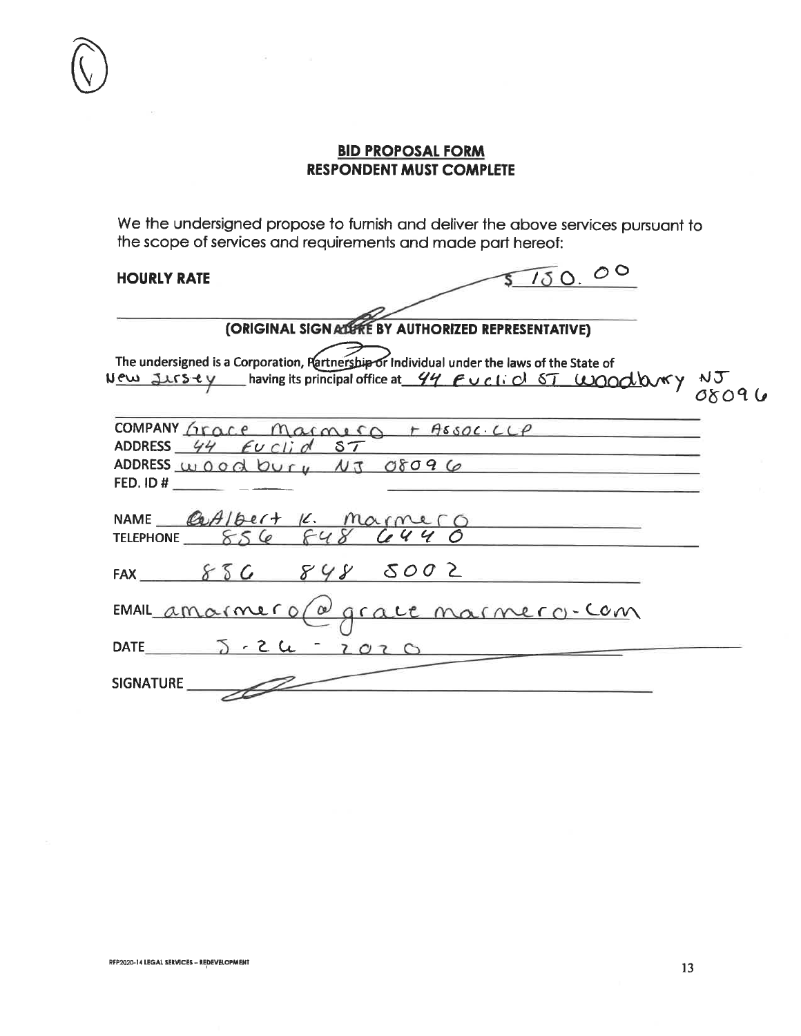We the undersigned propose to furnish and deliver the above services pursuant to the scope of services and requirements and made part hereof:

#### **HOURLY RATE**

 $5150.00$ 

| (ORIGINAL SIGNALISTIE BY AUTHORIZED REPRESENTATIVE)                                                                                                                                                                                                               |  |
|-------------------------------------------------------------------------------------------------------------------------------------------------------------------------------------------------------------------------------------------------------------------|--|
| The undersigned is a Corporation, Partnership or Individual under the laws of the State of<br>The undersigned is a Corporation, retriners under individual under the material control of NJ<br>New Jursey having its principal office at 44 Fucked ST WOOdbury NJ |  |
| COMPANY Grace Marmera + Assoc. LLP<br>ADDRESS $44$ Euclid ST<br>ADDRESS wood bury NJ 08096                                                                                                                                                                        |  |
| FED. ID #                                                                                                                                                                                                                                                         |  |
| NAME Castleest K. Marmero<br>TELEPHONE 856 F48 6440                                                                                                                                                                                                               |  |
| FAX $856$ $848$ $5002$                                                                                                                                                                                                                                            |  |
| EMAIL amainero (a) grace marmero-com                                                                                                                                                                                                                              |  |
| 2020<br>DATE $5.2$ $4.2$                                                                                                                                                                                                                                          |  |
| <b>SIGNATURE</b>                                                                                                                                                                                                                                                  |  |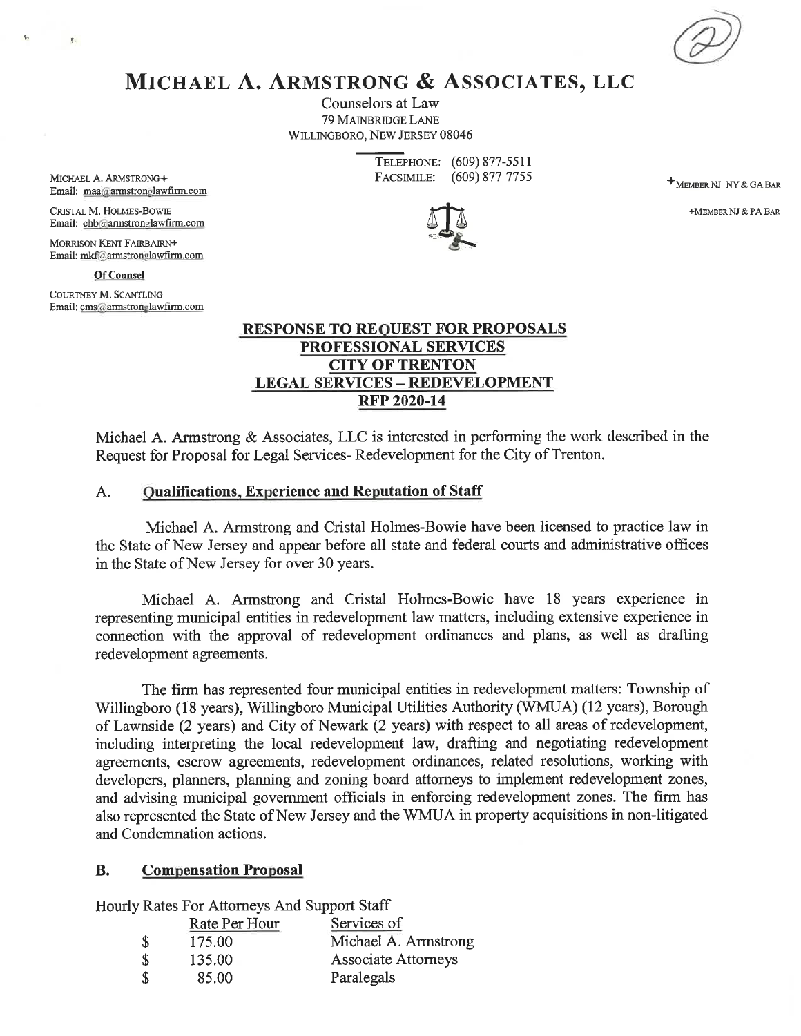

# MICHAEL A. ARMSTRONG & ASSOCIATES, LLC

Counselors at Law **79 MAINBRIDGE LANE** WILLINGBORO, NEW JERSEY 08046

> TELEPHONE: (609) 877-5511 FACSIMILE:  $(609)$  877-7755

**+MEMBER NJ NY & GA BAR** 

+MEMBER NJ & PA BAR



 $\ddot{\phantom{1}}$ 

h.

CRISTAL M. HOLMES-BOWIE Email: chb@armstronglawfirm.com

**MORRISON KENT FAIRBAIRN+** Email: mkf@armstronglawfirm.com

**Of Counsel** 

COURTNEY M. SCANTLING Email: cms@armstronglawfirm.com

### **RESPONSE TO REQUEST FOR PROPOSALS** PROFESSIONAL SERVICES **CITY OF TRENTON LEGAL SERVICES - REDEVELOPMENT RFP 2020-14**

Michael A. Armstrong & Associates, LLC is interested in performing the work described in the Request for Proposal for Legal Services-Redevelopment for the City of Trenton.

#### $A.$ **Qualifications, Experience and Reputation of Staff**

Michael A. Armstrong and Cristal Holmes-Bowie have been licensed to practice law in the State of New Jersey and appear before all state and federal courts and administrative offices in the State of New Jersey for over 30 years.

Michael A. Armstrong and Cristal Holmes-Bowie have 18 years experience in representing municipal entities in redevelopment law matters, including extensive experience in connection with the approval of redevelopment ordinances and plans, as well as drafting redevelopment agreements.

The firm has represented four municipal entities in redevelopment matters: Township of Willingboro (18 years), Willingboro Municipal Utilities Authority (WMUA) (12 years), Borough of Lawnside (2 years) and City of Newark (2 years) with respect to all areas of redevelopment, including interpreting the local redevelopment law, drafting and negotiating redevelopment agreements, escrow agreements, redevelopment ordinances, related resolutions, working with developers, planners, planning and zoning board attorneys to implement redevelopment zones, and advising municipal government officials in enforcing redevelopment zones. The firm has also represented the State of New Jersey and the WMUA in property acquisitions in non-litigated and Condemnation actions.

#### **B. Compensation Proposal**

Hourly Rates For Attorneys And Support Staff

|      | Rate Per Hour | Services of          |
|------|---------------|----------------------|
| - \$ | 175.00        | Michael A. Armstrong |
| - \$ | 135.00        | Associate Attorneys  |
| -S   | 85.00         | Paralegals           |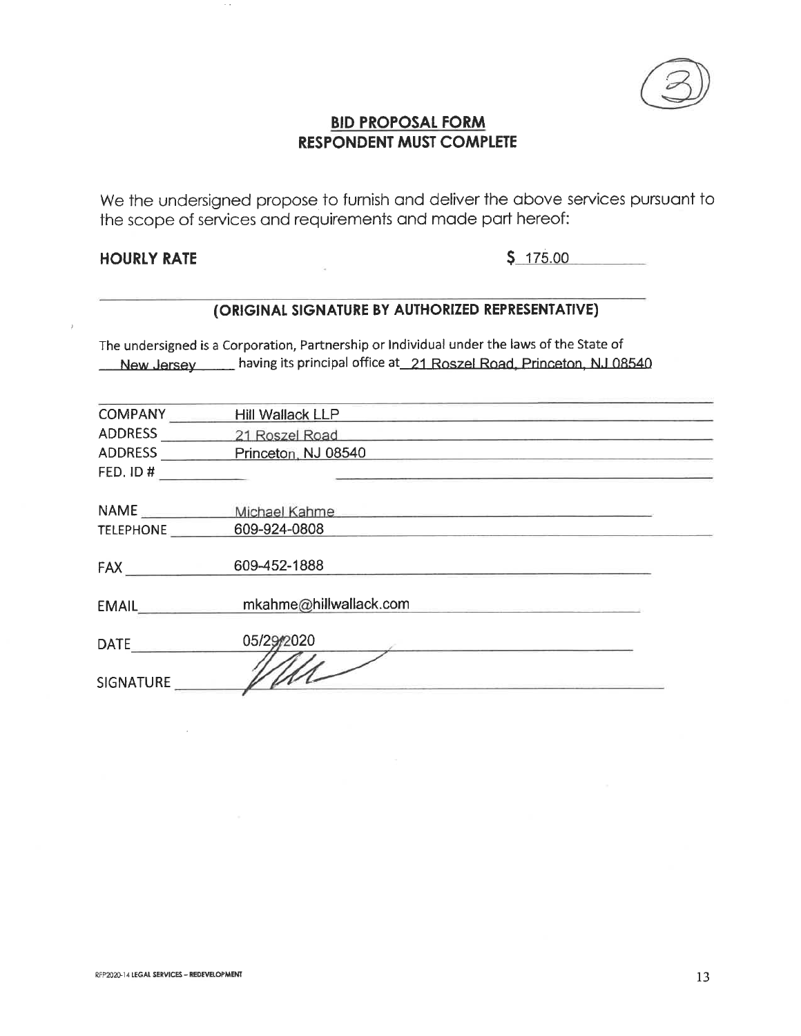

We the undersigned propose to furnish and deliver the above services pursuant to the scope of services and requirements and made part hereof:

## **HOURLY RATE**

 $$175.00$ 

# (ORIGINAL SIGNATURE BY AUTHORIZED REPRESENTATIVE)

The undersigned is a Corporation, Partnership or Individual under the laws of the State of New Jersey having its principal office at 21 Roszel Road, Princeton, NJ 08540

| <b>COMPANY</b>   | Hill Wallack LLP                                                   |  |
|------------------|--------------------------------------------------------------------|--|
| <b>ADDRESS</b>   | 21 Roszel Road<br>the control of the control of the control of the |  |
| ADDRESS          | Princeton, NJ 08540                                                |  |
| FED. ID#         |                                                                    |  |
|                  |                                                                    |  |
| NAME             | Michael Kahme                                                      |  |
| <b>TELEPHONE</b> | 609-924-0808                                                       |  |
|                  |                                                                    |  |
| <b>FAX</b>       | 609-452-1888                                                       |  |
|                  |                                                                    |  |
| <b>EMAIL</b>     | mkahme@hillwallack.com                                             |  |
|                  |                                                                    |  |
| <b>DATE</b>      | 05/29/2020                                                         |  |
|                  |                                                                    |  |
| <b>SIGNATURE</b> |                                                                    |  |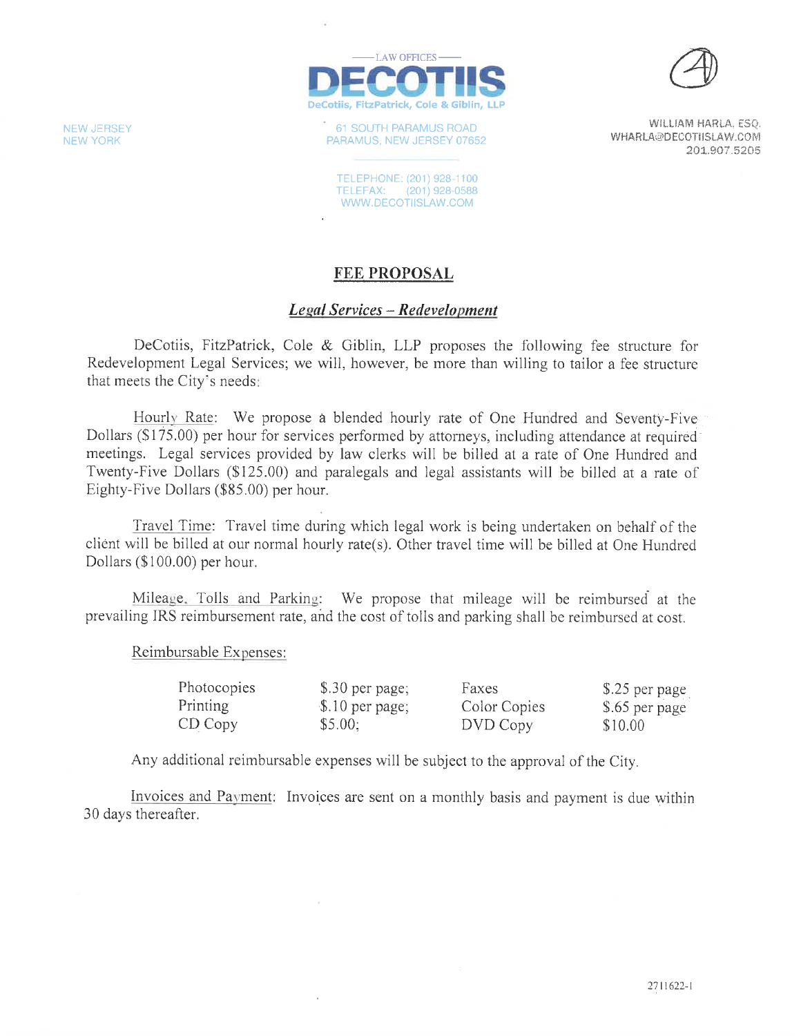

61 SOUTH PARAMUS ROAD PARAMUS, NEW JERSEY 07652

WILLIAM HARLA, ESQ. WHARLA@DECOTIISLAW.COM 201.907.5205

TELEPHONE: (201) 928-1100 TELEFAX: (201) 928-0588 WWW.DECOTIISLAW.COM

### **FEE PROPOSAL**

#### **Legal Services - Redevelopment**

DeCotiis, FitzPatrick, Cole & Giblin, LLP proposes the following fee structure for Redevelopment Legal Services; we will, however, be more than willing to tailor a fee structure that meets the City's needs:

Hourly Rate: We propose a blended hourly rate of One Hundred and Seventy-Five Dollars (\$175.00) per hour for services performed by attorneys, including attendance at required meetings. Legal services provided by law clerks will be billed at a rate of One Hundred and Twenty-Five Dollars (\$125.00) and paralegals and legal assistants will be billed at a rate of Eighty-Five Dollars (\$85.00) per hour.

Travel Time: Travel time during which legal work is being undertaken on behalf of the client will be billed at our normal hourly rate(s). Other travel time will be billed at One Hundred Dollars (\$100.00) per hour.

Mileage. Tolls and Parking: We propose that mileage will be reimbursed at the prevailing IRS reimbursement rate, and the cost of tolls and parking shall be reimbursed at cost.

Reimbursable Expenses:

| Photocopies | $$.30$ per page; | Faxes        | \$.25 per page |
|-------------|------------------|--------------|----------------|
| Printing    | \$.10 per page;  | Color Copies | \$.65 per page |
| $CD$ $Copy$ | \$5.00:          | DVD Copy     | \$10.00        |

Any additional reimbursable expenses will be subject to the approval of the City.

Invoices and Payment: Invoices are sent on a monthly basis and payment is due within 30 days thereafter.

**NEW JERSEY NEW YORK**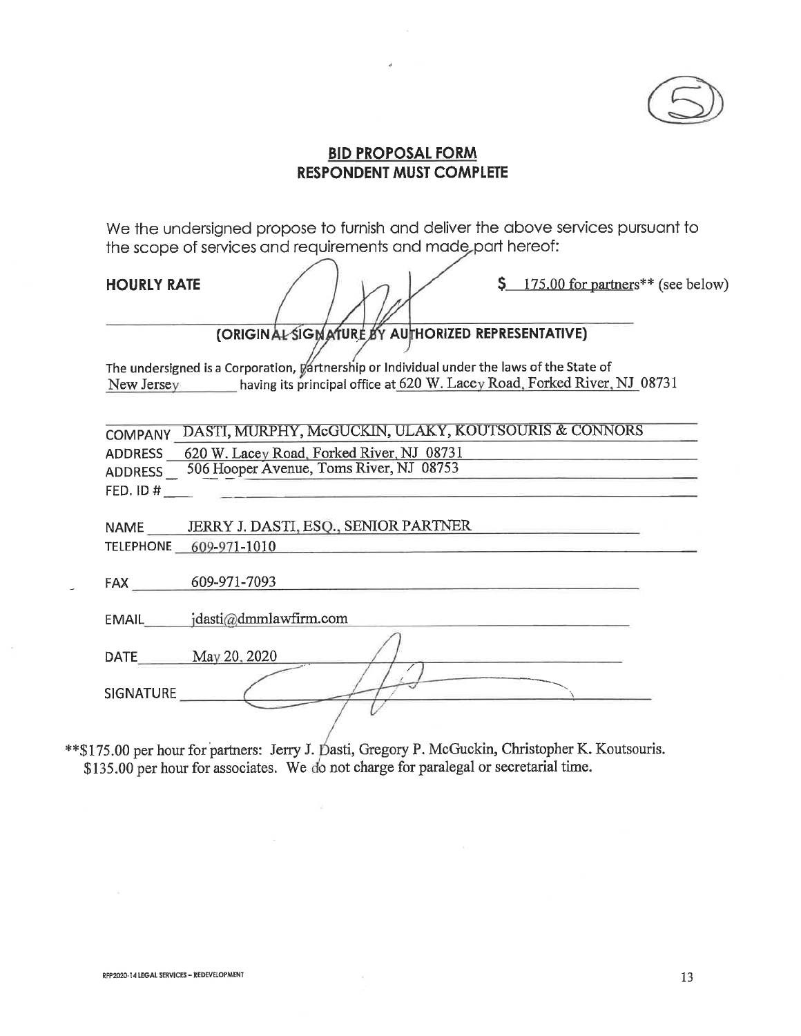

We the undersigned propose to furnish and deliver the above services pursuant to the scope of services and requirements and made part hereof:

**HOURLY RATE** 

 $\frac{175.00}{\text{for partners}}$  (see below)

(ORIGINAL SIGNATURE BY AUTHORIZED REPRESENTATIVE)

The undersigned is a Corporation, Vartnership or Individual under the laws of the State of New Jersey having its principal office at 620 W. Lacey Road, Forked River, NJ 08731

COMPANY DASTI, MURPHY, McGUCKIN, ULAKY, KOUTSOURIS & CONNORS ADDRESS 620 W. Lacey Road, Forked River, NJ 08731 ADDRESS 506 Hooper Avenue, Toms River, NJ 08753 FED. ID #

JERRY J. DASTI, ESQ., SENIOR PARTNER **NAME** TELEPHONE 609-971-1010

FAX 609-971-7093

EMAIL jdasti@dmmlawfirm.com

DATE May 20, 2020

**SIGNATURE** 

\*\*\$175.00 per hour for partners: Jerry J. Dasti, Gregory P. McGuckin, Christopher K. Koutsouris. \$135.00 per hour for associates. We do not charge for paralegal or secretarial time.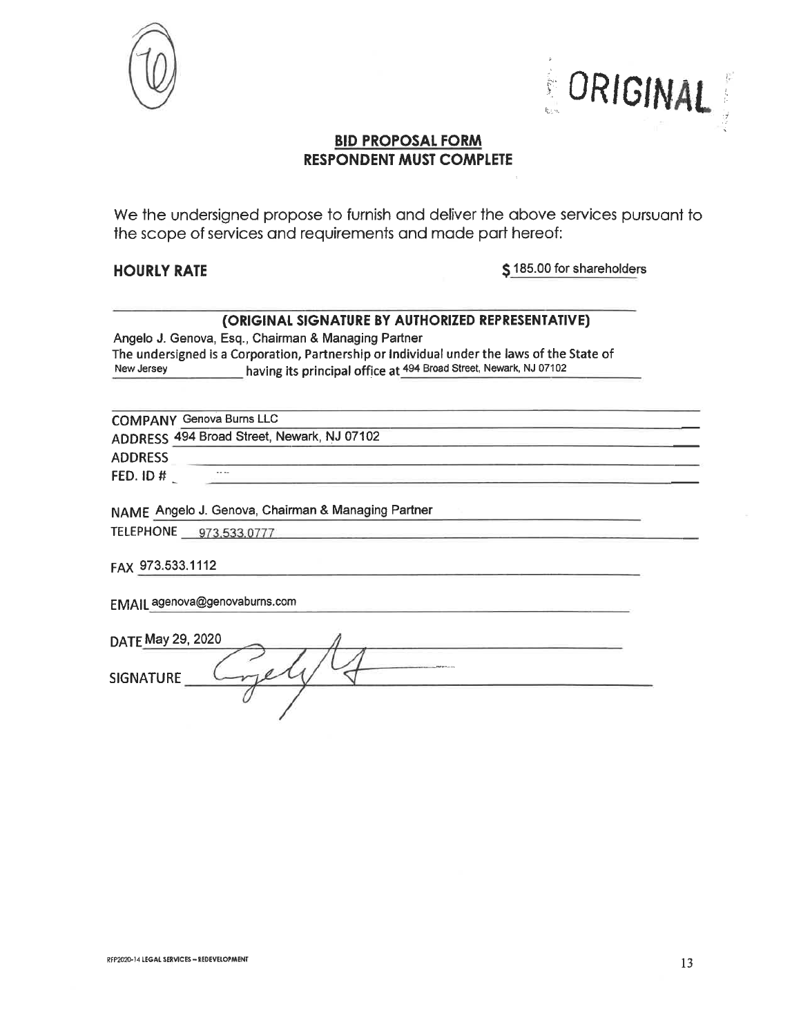



We the undersigned propose to furnish and deliver the above services pursuant to the scope of services and requirements and made part hereof:

#### **HOURLY RATE**

\$185.00 for shareholders

#### (ORIGINAL SIGNATURE BY AUTHORIZED REPRESENTATIVE)

Angelo J. Genova, Esq., Chairman & Managing Partner The undersigned is a Corporation, Partnership or Individual under the laws of the State of having its principal office at 494 Broad Street, Newark, NJ 07102 New Jersey

**COMPANY Genova Burns LLC** ADDRESS 494 Broad Street, Newark, NJ 07102 **ADDRESS**  $\sim$   $\sim$ FED. ID #

NAME Angelo J. Genova, Chairman & Managing Partner

TELEPHONE 973,533,0777

FAX 973.533.1112

EMAIL agenova@genovaburns.com

| DATE May 29, 2020 |                                                                                                                                                                                                                                |  |
|-------------------|--------------------------------------------------------------------------------------------------------------------------------------------------------------------------------------------------------------------------------|--|
| <b>SIGNATURE</b>  | with the company of the Contract of the Contract of the Contract of the Contract of the Contract of the Contract of the Contract of the Contract of the Contract of the Contract of the Contract of the Contract of the Contra |  |
|                   |                                                                                                                                                                                                                                |  |